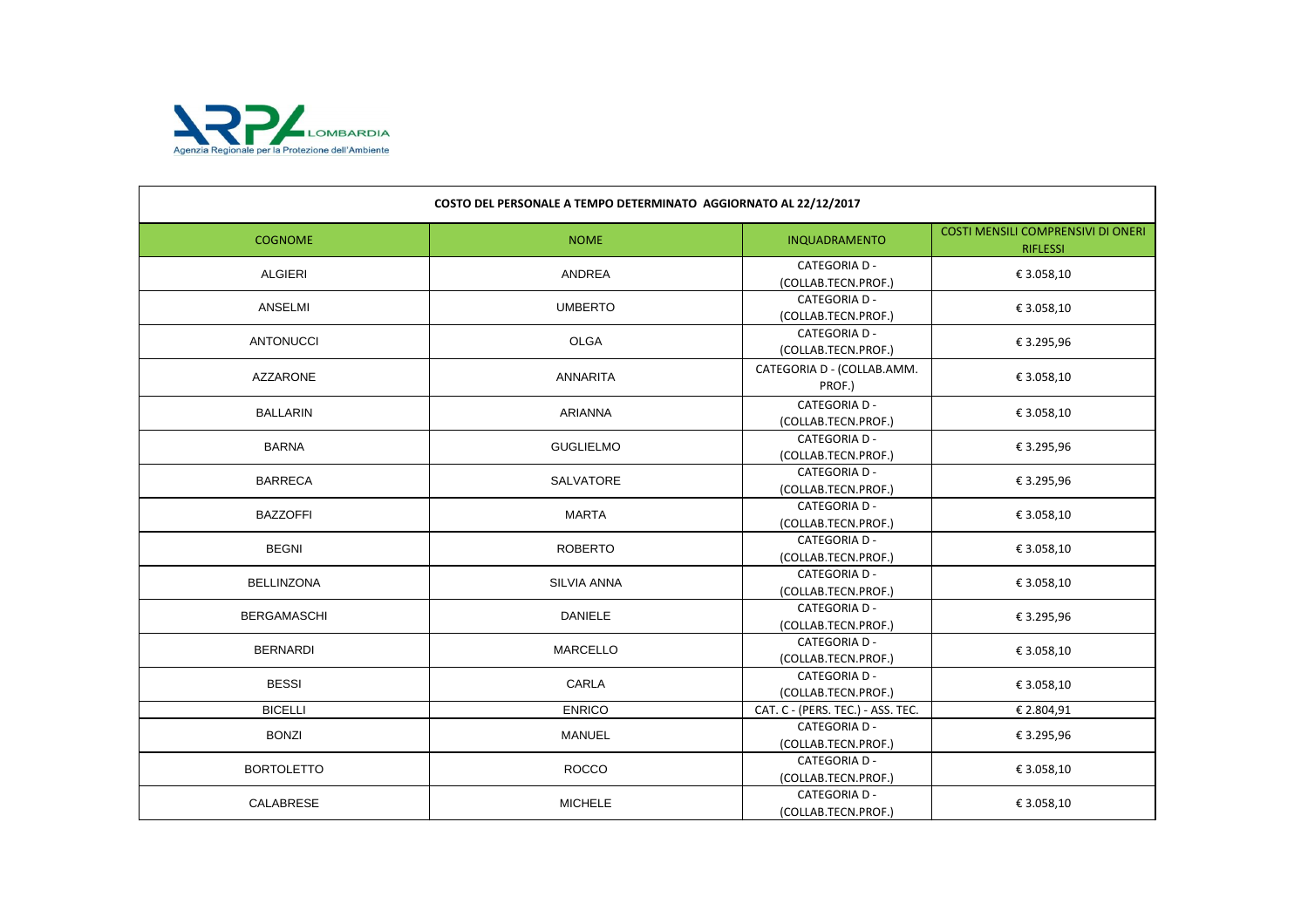

| COSTO DEL PERSONALE A TEMPO DETERMINATO AGGIORNATO AL 22/12/2017 |                    |                                             |                                                              |
|------------------------------------------------------------------|--------------------|---------------------------------------------|--------------------------------------------------------------|
| <b>COGNOME</b>                                                   | <b>NOME</b>        | INQUADRAMENTO                               | <b>COSTI MENSILI COMPRENSIVI DI ONERI</b><br><b>RIFLESSI</b> |
| <b>ALGIERI</b>                                                   | ANDREA             | <b>CATEGORIA D -</b><br>(COLLAB.TECN.PROF.) | € 3.058,10                                                   |
| ANSELMI                                                          | <b>UMBERTO</b>     | <b>CATEGORIA D -</b><br>(COLLAB.TECN.PROF.) | € 3.058,10                                                   |
| <b>ANTONUCCI</b>                                                 | <b>OLGA</b>        | <b>CATEGORIA D -</b><br>(COLLAB.TECN.PROF.) | € 3.295,96                                                   |
| <b>AZZARONE</b>                                                  | <b>ANNARITA</b>    | CATEGORIA D - (COLLAB.AMM.<br>PROF.)        | € 3.058,10                                                   |
| <b>BALLARIN</b>                                                  | <b>ARIANNA</b>     | <b>CATEGORIA D -</b><br>(COLLAB.TECN.PROF.) | € 3.058,10                                                   |
| <b>BARNA</b>                                                     | <b>GUGLIELMO</b>   | <b>CATEGORIA D -</b><br>(COLLAB.TECN.PROF.) | € 3.295,96                                                   |
| <b>BARRECA</b>                                                   | SALVATORE          | <b>CATEGORIA D -</b><br>(COLLAB.TECN.PROF.) | € 3.295,96                                                   |
| <b>BAZZOFFI</b>                                                  | <b>MARTA</b>       | <b>CATEGORIA D -</b><br>(COLLAB.TECN.PROF.) | € 3.058,10                                                   |
| <b>BEGNI</b>                                                     | <b>ROBERTO</b>     | <b>CATEGORIA D -</b><br>(COLLAB.TECN.PROF.) | € 3.058,10                                                   |
| <b>BELLINZONA</b>                                                | <b>SILVIA ANNA</b> | <b>CATEGORIA D -</b><br>(COLLAB.TECN.PROF.) | € 3.058,10                                                   |
| <b>BERGAMASCHI</b>                                               | <b>DANIELE</b>     | <b>CATEGORIA D -</b><br>(COLLAB.TECN.PROF.) | € 3.295,96                                                   |
| <b>BERNARDI</b>                                                  | <b>MARCELLO</b>    | <b>CATEGORIA D -</b><br>(COLLAB.TECN.PROF.) | € 3.058,10                                                   |
| <b>BESSI</b>                                                     | CARLA              | <b>CATEGORIA D -</b><br>(COLLAB.TECN.PROF.) | € 3.058,10                                                   |
| <b>BICELLI</b>                                                   | <b>ENRICO</b>      | CAT. C - (PERS. TEC.) - ASS. TEC.           | € 2.804,91                                                   |
| <b>BONZI</b>                                                     | <b>MANUEL</b>      | <b>CATEGORIA D -</b><br>(COLLAB.TECN.PROF.) | € 3.295,96                                                   |
| <b>BORTOLETTO</b>                                                | <b>ROCCO</b>       | <b>CATEGORIA D -</b><br>(COLLAB.TECN.PROF.) | € 3.058,10                                                   |
| CALABRESE                                                        | <b>MICHELE</b>     | <b>CATEGORIA D -</b><br>(COLLAB.TECN.PROF.) | € 3.058,10                                                   |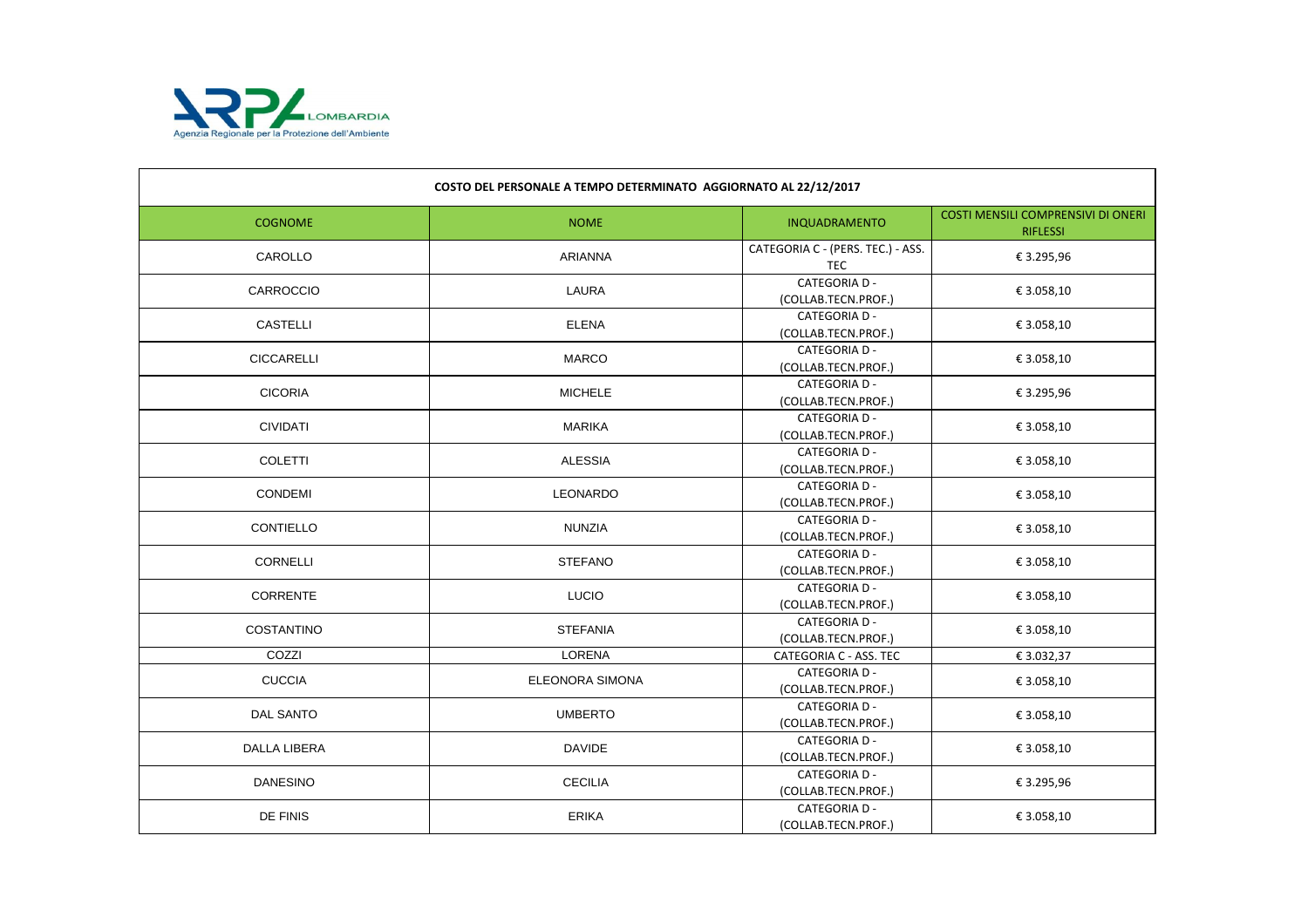

| COSTO DEL PERSONALE A TEMPO DETERMINATO AGGIORNATO AL 22/12/2017 |                        |                                                 |                                                              |
|------------------------------------------------------------------|------------------------|-------------------------------------------------|--------------------------------------------------------------|
| <b>COGNOME</b>                                                   | <b>NOME</b>            | INQUADRAMENTO                                   | <b>COSTI MENSILI COMPRENSIVI DI ONERI</b><br><b>RIFLESSI</b> |
| CAROLLO                                                          | <b>ARIANNA</b>         | CATEGORIA C - (PERS. TEC.) - ASS.<br><b>TEC</b> | € 3.295,96                                                   |
| <b>CARROCCIO</b>                                                 | LAURA                  | <b>CATEGORIA D -</b><br>(COLLAB.TECN.PROF.)     | € 3.058,10                                                   |
| <b>CASTELLI</b>                                                  | <b>ELENA</b>           | <b>CATEGORIA D -</b><br>(COLLAB.TECN.PROF.)     | € 3.058,10                                                   |
| <b>CICCARELLI</b>                                                | <b>MARCO</b>           | <b>CATEGORIA D -</b><br>(COLLAB.TECN.PROF.)     | € 3.058,10                                                   |
| <b>CICORIA</b>                                                   | <b>MICHELE</b>         | <b>CATEGORIA D -</b><br>(COLLAB.TECN.PROF.)     | € 3.295,96                                                   |
| <b>CIVIDATI</b>                                                  | <b>MARIKA</b>          | <b>CATEGORIA D -</b><br>(COLLAB.TECN.PROF.)     | € 3.058,10                                                   |
| <b>COLETTI</b>                                                   | <b>ALESSIA</b>         | <b>CATEGORIA D -</b><br>(COLLAB.TECN.PROF.)     | € 3.058,10                                                   |
| <b>CONDEMI</b>                                                   | <b>LEONARDO</b>        | <b>CATEGORIA D -</b><br>(COLLAB.TECN.PROF.)     | € 3.058,10                                                   |
| CONTIELLO                                                        | <b>NUNZIA</b>          | <b>CATEGORIA D -</b><br>(COLLAB.TECN.PROF.)     | € 3.058,10                                                   |
| <b>CORNELLI</b>                                                  | <b>STEFANO</b>         | <b>CATEGORIA D -</b><br>(COLLAB.TECN.PROF.)     | € 3.058,10                                                   |
| <b>CORRENTE</b>                                                  | <b>LUCIO</b>           | <b>CATEGORIA D -</b><br>(COLLAB.TECN.PROF.)     | € 3.058,10                                                   |
| <b>COSTANTINO</b>                                                | <b>STEFANIA</b>        | <b>CATEGORIA D -</b><br>(COLLAB.TECN.PROF.)     | € 3.058,10                                                   |
| COZZI                                                            | LORENA                 | CATEGORIA C - ASS. TEC                          | € 3.032,37                                                   |
| <b>CUCCIA</b>                                                    | <b>ELEONORA SIMONA</b> | <b>CATEGORIA D -</b><br>(COLLAB.TECN.PROF.)     | € 3.058,10                                                   |
| <b>DAL SANTO</b>                                                 | <b>UMBERTO</b>         | <b>CATEGORIA D-</b><br>(COLLAB.TECN.PROF.)      | € 3.058,10                                                   |
| <b>DALLA LIBERA</b>                                              | <b>DAVIDE</b>          | <b>CATEGORIA D -</b><br>(COLLAB.TECN.PROF.)     | € 3.058,10                                                   |
| <b>DANESINO</b>                                                  | <b>CECILIA</b>         | <b>CATEGORIA D -</b><br>(COLLAB.TECN.PROF.)     | € 3.295,96                                                   |
| DE FINIS                                                         | <b>ERIKA</b>           | <b>CATEGORIA D -</b><br>(COLLAB.TECN.PROF.)     | € 3.058,10                                                   |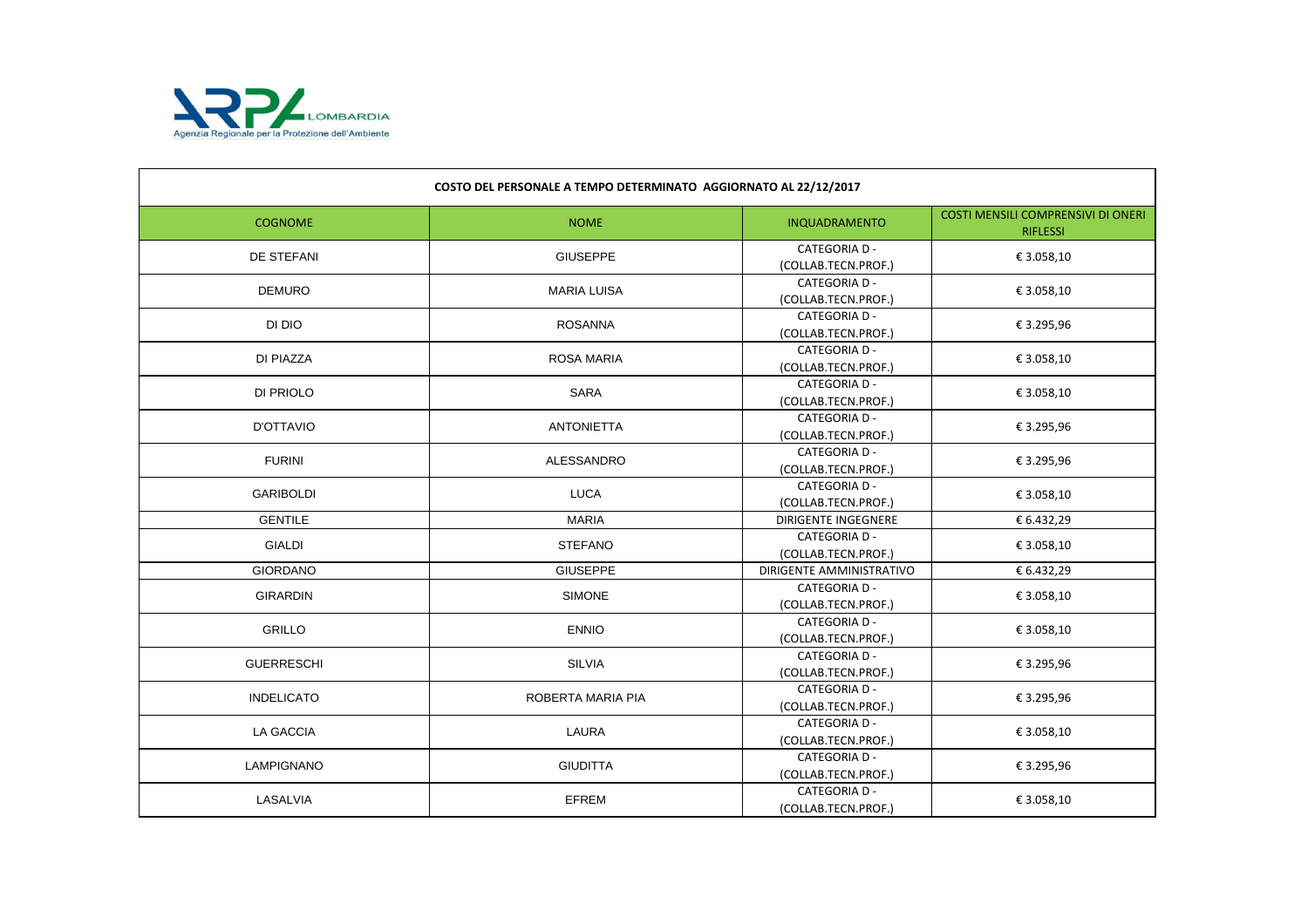

| COSTO DEL PERSONALE A TEMPO DETERMINATO AGGIORNATO AL 22/12/2017 |                    |                                             |                                                              |
|------------------------------------------------------------------|--------------------|---------------------------------------------|--------------------------------------------------------------|
| <b>COGNOME</b>                                                   | <b>NOME</b>        | INQUADRAMENTO                               | <b>COSTI MENSILI COMPRENSIVI DI ONERI</b><br><b>RIFLESSI</b> |
| DE STEFANI                                                       | <b>GIUSEPPE</b>    | <b>CATEGORIA D -</b><br>(COLLAB.TECN.PROF.) | € 3.058,10                                                   |
| <b>DEMURO</b>                                                    | <b>MARIA LUISA</b> | <b>CATEGORIA D -</b><br>(COLLAB.TECN.PROF.) | € 3.058,10                                                   |
| DI DIO                                                           | <b>ROSANNA</b>     | <b>CATEGORIA D -</b><br>(COLLAB.TECN.PROF.) | € 3.295,96                                                   |
| DI PIAZZA                                                        | <b>ROSA MARIA</b>  | <b>CATEGORIA D -</b><br>(COLLAB.TECN.PROF.) | € 3.058,10                                                   |
| DI PRIOLO                                                        | <b>SARA</b>        | <b>CATEGORIA D -</b><br>(COLLAB.TECN.PROF.) | € 3.058,10                                                   |
| <b>D'OTTAVIO</b>                                                 | <b>ANTONIETTA</b>  | <b>CATEGORIA D -</b><br>(COLLAB.TECN.PROF.) | € 3.295,96                                                   |
| <b>FURINI</b>                                                    | ALESSANDRO         | <b>CATEGORIA D -</b><br>(COLLAB.TECN.PROF.) | € 3.295,96                                                   |
| <b>GARIBOLDI</b>                                                 | <b>LUCA</b>        | <b>CATEGORIA D -</b><br>(COLLAB.TECN.PROF.) | € 3.058,10                                                   |
| <b>GENTILE</b>                                                   | <b>MARIA</b>       | <b>DIRIGENTE INGEGNERE</b>                  | € 6.432,29                                                   |
| <b>GIALDI</b>                                                    | <b>STEFANO</b>     | <b>CATEGORIA D -</b><br>(COLLAB.TECN.PROF.) | € 3.058,10                                                   |
| <b>GIORDANO</b>                                                  | <b>GIUSEPPE</b>    | DIRIGENTE AMMINISTRATIVO                    | € 6.432,29                                                   |
| <b>GIRARDIN</b>                                                  | <b>SIMONE</b>      | <b>CATEGORIA D -</b><br>(COLLAB.TECN.PROF.) | € 3.058,10                                                   |
| <b>GRILLO</b>                                                    | <b>ENNIO</b>       | <b>CATEGORIA D -</b><br>(COLLAB.TECN.PROF.) | € 3.058,10                                                   |
| <b>GUERRESCHI</b>                                                | <b>SILVIA</b>      | <b>CATEGORIA D -</b><br>(COLLAB.TECN.PROF.) | € 3.295,96                                                   |
| <b>INDELICATO</b>                                                | ROBERTA MARIA PIA  | <b>CATEGORIA D -</b><br>(COLLAB.TECN.PROF.) | € 3.295,96                                                   |
| <b>LA GACCIA</b>                                                 | LAURA              | <b>CATEGORIA D -</b><br>(COLLAB.TECN.PROF.) | € 3.058,10                                                   |
| LAMPIGNANO                                                       | <b>GIUDITTA</b>    | <b>CATEGORIA D -</b><br>(COLLAB.TECN.PROF.) | € 3.295,96                                                   |
| LASALVIA                                                         | <b>EFREM</b>       | <b>CATEGORIA D -</b><br>(COLLAB.TECN.PROF.) | € 3.058,10                                                   |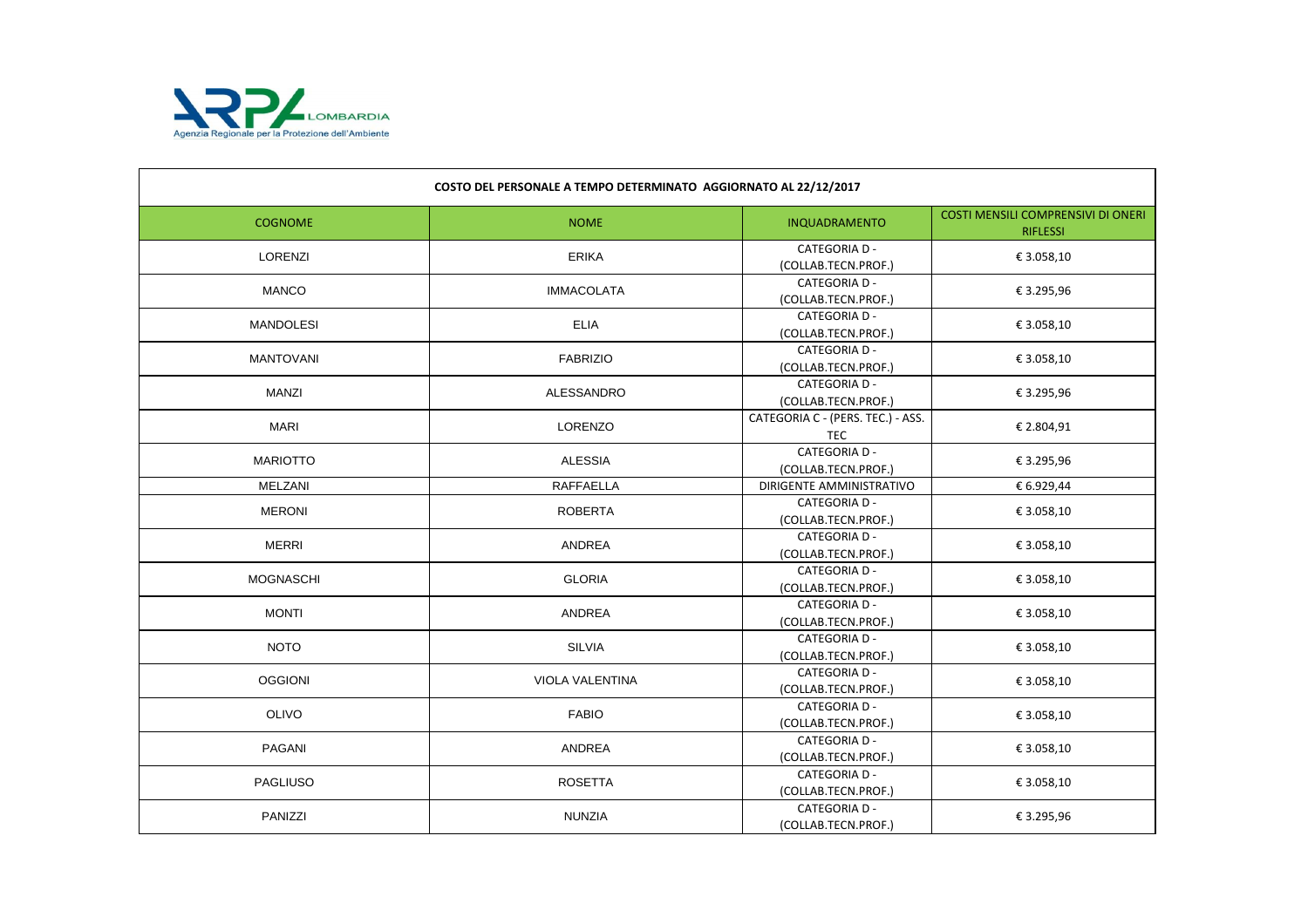

| COSTO DEL PERSONALE A TEMPO DETERMINATO AGGIORNATO AL 22/12/2017 |                        |                                                 |                                                              |
|------------------------------------------------------------------|------------------------|-------------------------------------------------|--------------------------------------------------------------|
| <b>COGNOME</b>                                                   | <b>NOME</b>            | INQUADRAMENTO                                   | <b>COSTI MENSILI COMPRENSIVI DI ONERI</b><br><b>RIFLESSI</b> |
| LORENZI                                                          | <b>ERIKA</b>           | <b>CATEGORIA D -</b><br>(COLLAB.TECN.PROF.)     | € 3.058,10                                                   |
| <b>MANCO</b>                                                     | <b>IMMACOLATA</b>      | <b>CATEGORIA D -</b><br>(COLLAB.TECN.PROF.)     | € 3.295,96                                                   |
| <b>MANDOLESI</b>                                                 | <b>ELIA</b>            | <b>CATEGORIA D -</b><br>(COLLAB.TECN.PROF.)     | € 3.058,10                                                   |
| <b>MANTOVANI</b>                                                 | <b>FABRIZIO</b>        | <b>CATEGORIA D -</b><br>(COLLAB.TECN.PROF.)     | € 3.058,10                                                   |
| <b>MANZI</b>                                                     | ALESSANDRO             | <b>CATEGORIA D -</b><br>(COLLAB.TECN.PROF.)     | € 3.295,96                                                   |
| <b>MARI</b>                                                      | <b>LORENZO</b>         | CATEGORIA C - (PERS. TEC.) - ASS.<br><b>TEC</b> | € 2.804,91                                                   |
| <b>MARIOTTO</b>                                                  | <b>ALESSIA</b>         | <b>CATEGORIA D -</b><br>(COLLAB.TECN.PROF.)     | € 3.295,96                                                   |
| <b>MELZANI</b>                                                   | <b>RAFFAELLA</b>       | DIRIGENTE AMMINISTRATIVO                        | € 6.929,44                                                   |
| <b>MERONI</b>                                                    | <b>ROBERTA</b>         | <b>CATEGORIA D -</b><br>(COLLAB.TECN.PROF.)     | € 3.058,10                                                   |
| <b>MERRI</b>                                                     | ANDREA                 | <b>CATEGORIA D -</b><br>(COLLAB.TECN.PROF.)     | € 3.058,10                                                   |
| <b>MOGNASCHI</b>                                                 | <b>GLORIA</b>          | <b>CATEGORIA D -</b><br>(COLLAB.TECN.PROF.)     | € 3.058,10                                                   |
| <b>MONTI</b>                                                     | ANDREA                 | <b>CATEGORIA D -</b><br>(COLLAB.TECN.PROF.)     | € 3.058,10                                                   |
| <b>NOTO</b>                                                      | <b>SILVIA</b>          | <b>CATEGORIA D -</b><br>(COLLAB.TECN.PROF.)     | € 3.058,10                                                   |
| <b>OGGIONI</b>                                                   | <b>VIOLA VALENTINA</b> | <b>CATEGORIA D -</b><br>(COLLAB.TECN.PROF.)     | € 3.058,10                                                   |
| <b>OLIVO</b>                                                     | <b>FABIO</b>           | <b>CATEGORIA D -</b><br>(COLLAB.TECN.PROF.)     | € 3.058,10                                                   |
| PAGANI                                                           | ANDREA                 | <b>CATEGORIA D -</b><br>(COLLAB.TECN.PROF.)     | € 3.058,10                                                   |
| <b>PAGLIUSO</b>                                                  | <b>ROSETTA</b>         | <b>CATEGORIA D -</b><br>(COLLAB.TECN.PROF.)     | € 3.058,10                                                   |
| PANIZZI                                                          | <b>NUNZIA</b>          | <b>CATEGORIA D -</b><br>(COLLAB.TECN.PROF.)     | € 3.295,96                                                   |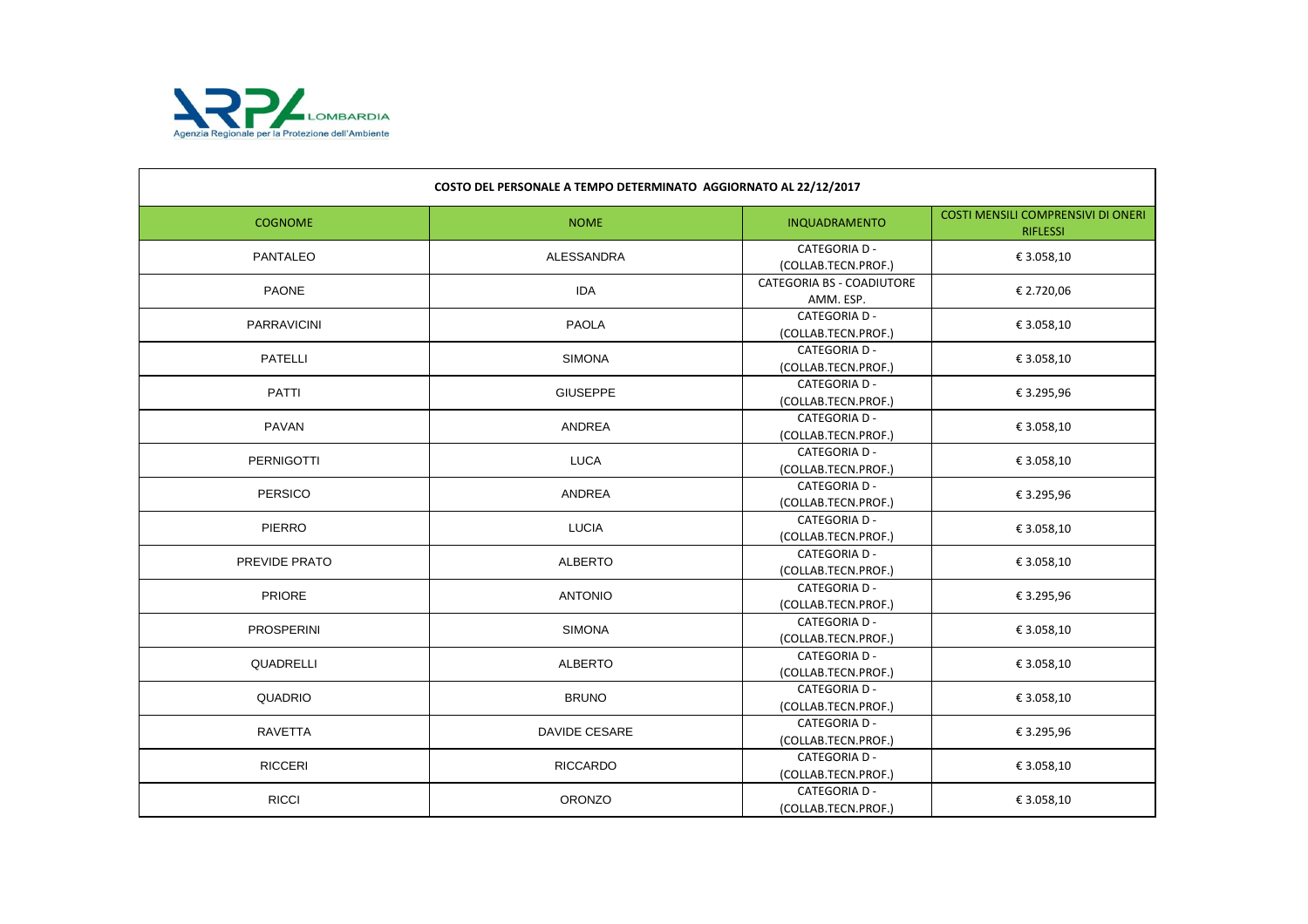

| COSTO DEL PERSONALE A TEMPO DETERMINATO AGGIORNATO AL 22/12/2017 |                 |                                               |                                                              |
|------------------------------------------------------------------|-----------------|-----------------------------------------------|--------------------------------------------------------------|
| <b>COGNOME</b>                                                   | <b>NOME</b>     | INQUADRAMENTO                                 | <b>COSTI MENSILI COMPRENSIVI DI ONERI</b><br><b>RIFLESSI</b> |
| <b>PANTALEO</b>                                                  | ALESSANDRA      | <b>CATEGORIA D -</b><br>(COLLAB.TECN.PROF.)   | € 3.058,10                                                   |
| <b>PAONE</b>                                                     | <b>IDA</b>      | <b>CATEGORIA BS - COADIUTORE</b><br>AMM. ESP. | € 2.720,06                                                   |
| <b>PARRAVICINI</b>                                               | <b>PAOLA</b>    | <b>CATEGORIA D -</b><br>(COLLAB.TECN.PROF.)   | € 3.058,10                                                   |
| <b>PATELLI</b>                                                   | <b>SIMONA</b>   | <b>CATEGORIA D -</b><br>(COLLAB.TECN.PROF.)   | € 3.058,10                                                   |
| <b>PATTI</b>                                                     | <b>GIUSEPPE</b> | <b>CATEGORIA D -</b><br>(COLLAB.TECN.PROF.)   | € 3.295,96                                                   |
| <b>PAVAN</b>                                                     | ANDREA          | <b>CATEGORIA D -</b><br>(COLLAB.TECN.PROF.)   | € 3.058,10                                                   |
| <b>PERNIGOTTI</b>                                                | <b>LUCA</b>     | <b>CATEGORIA D -</b><br>(COLLAB.TECN.PROF.)   | € 3.058,10                                                   |
| <b>PERSICO</b>                                                   | ANDREA          | <b>CATEGORIA D -</b><br>(COLLAB.TECN.PROF.)   | € 3.295,96                                                   |
| <b>PIERRO</b>                                                    | <b>LUCIA</b>    | <b>CATEGORIA D -</b><br>(COLLAB.TECN.PROF.)   | € 3.058,10                                                   |
| PREVIDE PRATO                                                    | <b>ALBERTO</b>  | <b>CATEGORIA D -</b><br>(COLLAB.TECN.PROF.)   | € 3.058,10                                                   |
| <b>PRIORE</b>                                                    | <b>ANTONIO</b>  | <b>CATEGORIA D -</b><br>(COLLAB.TECN.PROF.)   | € 3.295,96                                                   |
| <b>PROSPERINI</b>                                                | <b>SIMONA</b>   | <b>CATEGORIA D -</b><br>(COLLAB.TECN.PROF.)   | € 3.058,10                                                   |
| QUADRELLI                                                        | <b>ALBERTO</b>  | <b>CATEGORIA D -</b><br>(COLLAB.TECN.PROF.)   | € 3.058,10                                                   |
| <b>QUADRIO</b>                                                   | <b>BRUNO</b>    | <b>CATEGORIA D -</b><br>(COLLAB.TECN.PROF.)   | € 3.058,10                                                   |
| <b>RAVETTA</b>                                                   | DAVIDE CESARE   | <b>CATEGORIA D -</b><br>(COLLAB.TECN.PROF.)   | € 3.295,96                                                   |
| <b>RICCERI</b>                                                   | <b>RICCARDO</b> | <b>CATEGORIA D -</b><br>(COLLAB.TECN.PROF.)   | € 3.058,10                                                   |
| <b>RICCI</b>                                                     | <b>ORONZO</b>   | <b>CATEGORIA D -</b><br>(COLLAB.TECN.PROF.)   | € 3.058,10                                                   |